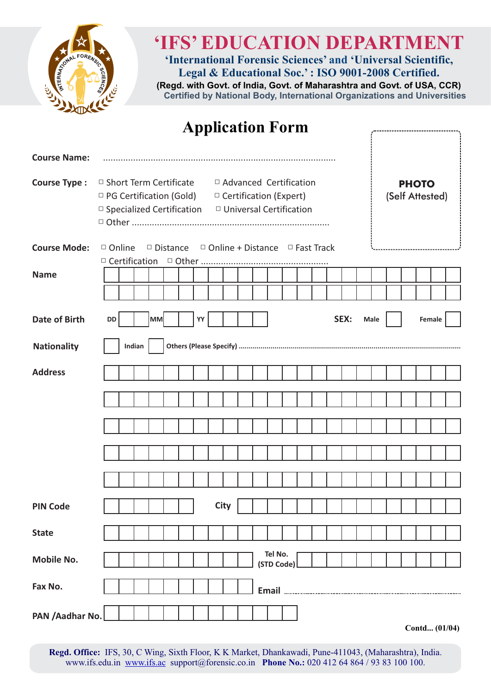

# **'IFS' EDUCATION DEPARTMENT**

**'International Forensic Sciences' and 'Universal Scientific, Legal & Educational Soc.' : ISO 9001-2008 Certified.**

**(Regd. with Govt. of India, Govt. of Maharashtra and Govt. of USA, CCR) Certified by National Body, International Organizations and Universities** 

| <b>Application Form</b> |                                                                                                                               |  |        |                                                            |  |  |         |             |  |                                                           |  |  |      |      |                                 |  |  |        |              |  |
|-------------------------|-------------------------------------------------------------------------------------------------------------------------------|--|--------|------------------------------------------------------------|--|--|---------|-------------|--|-----------------------------------------------------------|--|--|------|------|---------------------------------|--|--|--------|--------------|--|
| <b>Course Name:</b>     |                                                                                                                               |  |        |                                                            |  |  |         |             |  |                                                           |  |  |      |      |                                 |  |  |        |              |  |
| <b>Course Type:</b>     | $\Box$ Short Term Certificate<br>□ PG Certification (Gold)<br>$\Box$ Specialized Certification $\Box$ Universal Certification |  |        |                                                            |  |  |         |             |  | □ Advanced Certification<br>$\Box$ Certification (Expert) |  |  |      |      | <b>PHOTO</b><br>(Self Attested) |  |  |        |              |  |
| <b>Course Mode:</b>     | $\Box$ Online<br>$\Box$ Certification                                                                                         |  |        | $\Box$ Distance $\Box$ Online + Distance $\Box$ Fast Track |  |  | □ Other |             |  |                                                           |  |  |      |      |                                 |  |  |        |              |  |
| <b>Name</b>             |                                                                                                                               |  |        |                                                            |  |  |         |             |  |                                                           |  |  |      |      |                                 |  |  |        |              |  |
|                         |                                                                                                                               |  |        |                                                            |  |  |         |             |  |                                                           |  |  |      |      |                                 |  |  |        |              |  |
| <b>Date of Birth</b>    | DD                                                                                                                            |  |        | MM                                                         |  |  | YY      |             |  |                                                           |  |  | SEX: | Male |                                 |  |  | Female |              |  |
| <b>Nationality</b>      |                                                                                                                               |  | Indian |                                                            |  |  |         |             |  |                                                           |  |  |      |      |                                 |  |  |        |              |  |
| <b>Address</b>          |                                                                                                                               |  |        |                                                            |  |  |         |             |  |                                                           |  |  |      |      |                                 |  |  |        |              |  |
|                         |                                                                                                                               |  |        |                                                            |  |  |         |             |  |                                                           |  |  |      |      |                                 |  |  |        |              |  |
|                         |                                                                                                                               |  |        |                                                            |  |  |         |             |  |                                                           |  |  |      |      |                                 |  |  |        |              |  |
|                         |                                                                                                                               |  |        |                                                            |  |  |         |             |  |                                                           |  |  |      |      |                                 |  |  |        |              |  |
|                         |                                                                                                                               |  |        |                                                            |  |  |         |             |  |                                                           |  |  |      |      |                                 |  |  |        |              |  |
| <b>PIN Code</b>         |                                                                                                                               |  |        |                                                            |  |  |         | <b>City</b> |  |                                                           |  |  |      |      |                                 |  |  |        |              |  |
| <b>State</b>            |                                                                                                                               |  |        |                                                            |  |  |         |             |  |                                                           |  |  |      |      |                                 |  |  |        |              |  |
| <b>Mobile No.</b>       |                                                                                                                               |  |        |                                                            |  |  |         |             |  | Tel No.<br>(STD Code)                                     |  |  |      |      |                                 |  |  |        |              |  |
| Fax No.                 |                                                                                                                               |  |        |                                                            |  |  |         |             |  |                                                           |  |  |      |      |                                 |  |  |        |              |  |
| PAN / Aadhar No.        |                                                                                                                               |  |        |                                                            |  |  |         |             |  |                                                           |  |  |      |      |                                 |  |  |        | $-4J(01/04)$ |  |

**Contd... (01/04)**

**Regd. Office:** IFS, 30, C Wing, Sixth Floor, K K Market, Dhankawadi, Pune-411043, (Maharashtra), India. www.ifs.edu.in [www.ifs.ac](http://www.ifs.ac) support@forensic.co.in **Phone No.:** 020 412 64 864 / 93 83 100 100.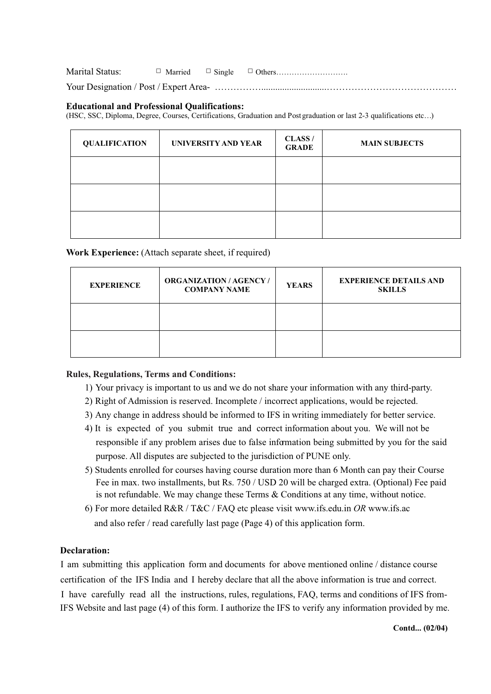Marital Status: □ Married □ Single □ Others………………………. Your Designation / Post / Expert Area-  $\ldots$   $\ldots$   $\ldots$   $\ldots$   $\ldots$   $\ldots$   $\ldots$   $\ldots$   $\ldots$   $\ldots$   $\ldots$   $\ldots$   $\ldots$   $\ldots$   $\ldots$ 

### **Educational and Professional Qualifications:**

(HSC, SSC, Diploma, Degree, Courses, Certifications, Graduation and Post graduation or last 2-3 qualifications etc…)

| <b>QUALIFICATION</b> | UNIVERSITY AND YEAR | CLASS/<br><b>GRADE</b> | <b>MAIN SUBJECTS</b> |
|----------------------|---------------------|------------------------|----------------------|
|                      |                     |                        |                      |
|                      |                     |                        |                      |
|                      |                     |                        |                      |

#### **Work Experience:** (Attach separate sheet, if required)

| <b>EXPERIENCE</b> | <b>ORGANIZATION/AGENCY/</b><br><b>COMPANY NAME</b> | <b>YEARS</b> | <b>EXPERIENCE DETAILS AND</b><br><b>SKILLS</b> |
|-------------------|----------------------------------------------------|--------------|------------------------------------------------|
|                   |                                                    |              |                                                |
|                   |                                                    |              |                                                |

### **Rules, Regulations, Terms and Conditions:**

- 1) Your privacy is important to us and we do not share your information with any third-party.
- 2) Right of Admission is reserved. Incomplete / incorrect applications, would be rejected.
- 3) Any change in address should be informed to IFS in writing immediately for better service.
- 4) It is expected of you submit true and correct information about you. We will not be responsible if any problem arises due to false information being submitted by you for the said purpose. All disputes are subjected to the jurisdiction of PUNE only.
- 5) Students enrolled for courses having course duration more than 6 Month can pay their Course Fee in max. two installments, but Rs. 750 / USD 20 will be charged extra. (Optional) Fee paid is not refundable. We may change these Terms & Conditions at any time, without notice.
- 6) For more detailed R&R / T&C / FAQ etc please visit www.ifs.edu.in *OR* www.ifs.ac and also refer / read carefully last page (Page 4) of this application form.

#### **Declaration:**

I am submitting this application form and documents for above mentioned online / distance course certification of the IFS India and I hereby declare that all the above information is true and correct. I have carefully read all the instructions, rules, regulations, FAQ, terms and conditions of IFS from-IFS Website and last page (4) of this form. I authorize the IFS to verify any information provided by me.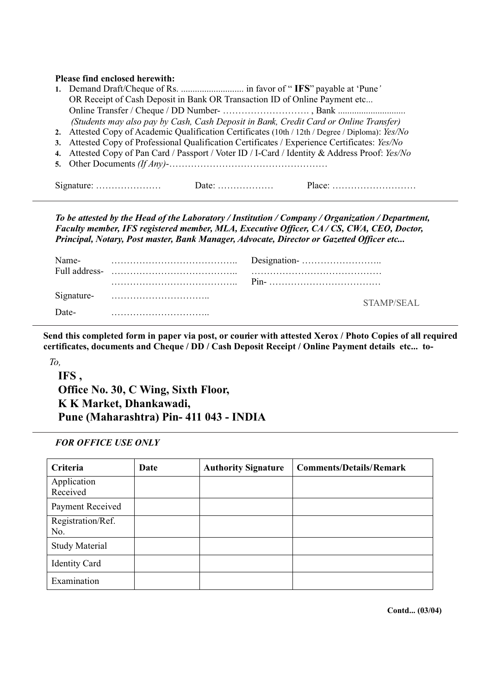## **Please find enclosed herewith:**

| OR Receipt of Cash Deposit in Bank OR Transaction ID of Online Payment etc                       |  |  |  |  |  |  |  |  |  |
|--------------------------------------------------------------------------------------------------|--|--|--|--|--|--|--|--|--|
|                                                                                                  |  |  |  |  |  |  |  |  |  |
| (Students may also pay by Cash, Cash Deposit in Bank, Credit Card or Online Transfer)            |  |  |  |  |  |  |  |  |  |
| 2. Attested Copy of Academic Qualification Certificates (10th / 12th / Degree / Diploma): Yes/No |  |  |  |  |  |  |  |  |  |
| 3. Attested Copy of Professional Qualification Certificates / Experience Certificates: Yes/No    |  |  |  |  |  |  |  |  |  |
| 4. Attested Copy of Pan Card / Passport / Voter ID / I-Card / Identity & Address Proof: Yes/No   |  |  |  |  |  |  |  |  |  |
|                                                                                                  |  |  |  |  |  |  |  |  |  |
|                                                                                                  |  |  |  |  |  |  |  |  |  |
|                                                                                                  |  |  |  |  |  |  |  |  |  |
|                                                                                                  |  |  |  |  |  |  |  |  |  |

*To be attested by the Head of the Laboratory / Institution / Company / Organization / Department, Faculty member, IFS registered member, MLA, Executive Officer, CA / CS, CWA, CEO, Doctor, Principal, Notary, Post master, Bank Manager, Advocate, Director or Gazetted Officer etc...*

| Name-      |            |  |  |  |  |
|------------|------------|--|--|--|--|
|            |            |  |  |  |  |
| Signature- | STAMP/SEAL |  |  |  |  |
| Date-      |            |  |  |  |  |

**Send this completed form in paper via post, or courier with attested Xerox / Photo Copies of all required certificates, documents and Cheque / DD / Cash Deposit Receipt / Online Payment details etc... to-**

*To,*

**IFS , Office No. 30, C Wing, Sixth Floor, K K Market, Dhankawadi, Pune (Maharashtra) Pin- 411 043 - INDIA**

#### *FOR OFFICE USE ONLY*

| Criteria                 | Date | <b>Authority Signature</b> | <b>Comments/Details/Remark</b> |
|--------------------------|------|----------------------------|--------------------------------|
| Application<br>Received  |      |                            |                                |
| Payment Received         |      |                            |                                |
| Registration/Ref.<br>No. |      |                            |                                |
| <b>Study Material</b>    |      |                            |                                |
| <b>Identity Card</b>     |      |                            |                                |
| Examination              |      |                            |                                |

**Contd... (03/04)**